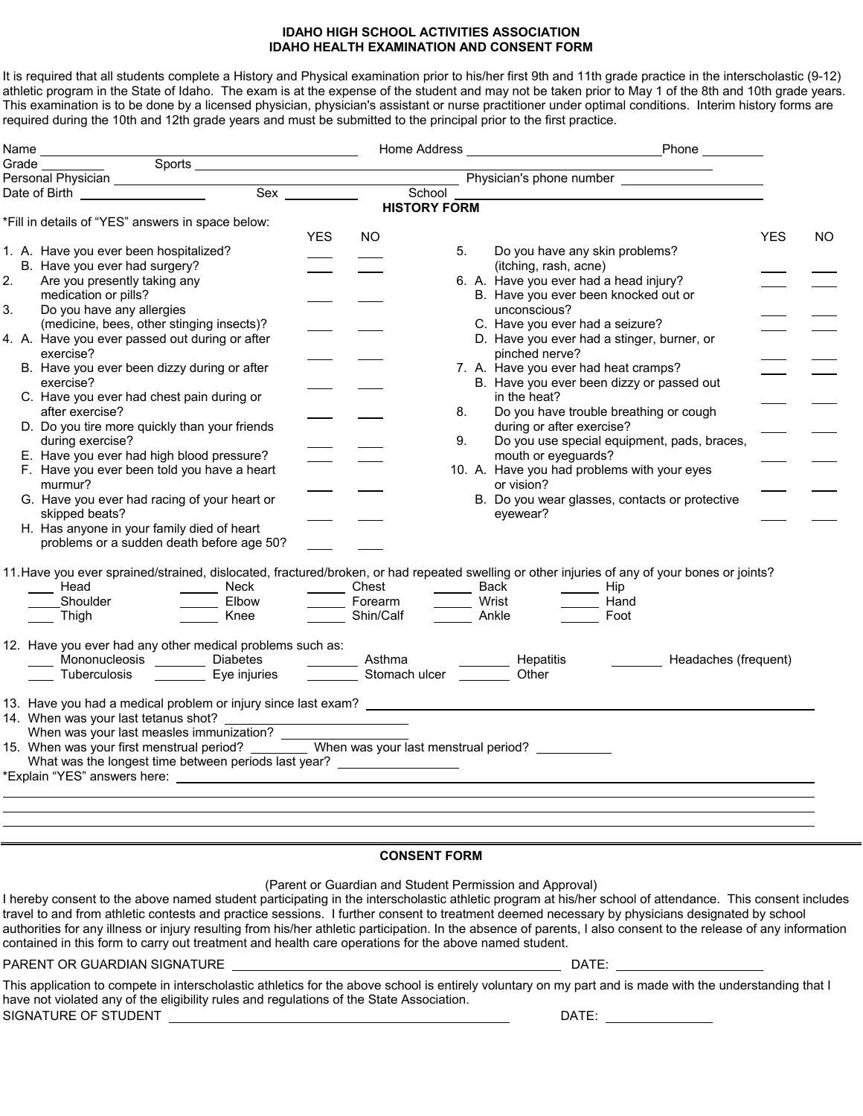## **IDAHO HIGH SCHOOL ACTIVITIES ASSOCIATION IDAHO HEALTH EXAMINATION AND CONSENT FORM**

It is required that all students complete a History and Physical examination prior to his/her first 9th and 11th grade practice in the interscholastic (9-12) athletic program in the State of Idaho. The exam is at the expense of the student and may not be taken prior to May 1 of the 8th and 10th grade years. This examination is to be done by a licensed physician, physician's assistant or nurse practitioner under optimal conditions. Interim history forms are required during the 10th and 12th grade years and must be submitted to the principal prior to the first practice.

| Name   |                                                                                                                                                                                                                                      |            |                     |    |                                 |                                                |            |     |
|--------|--------------------------------------------------------------------------------------------------------------------------------------------------------------------------------------------------------------------------------------|------------|---------------------|----|---------------------------------|------------------------------------------------|------------|-----|
| Grade_ | Sports <u>superior and the second second second</u>                                                                                                                                                                                  |            |                     |    |                                 |                                                |            |     |
|        | Draw <u>— Personal Physician — Microsoft Charles Corporation — Sex — Microsoft Charles Charles Charles Charles Charles Charles Charles Charles Charles Charles Charles Charles Charles Charles Charles Charles Charles Charles C</u> |            |                     |    |                                 | Physician's phone number                       |            |     |
|        |                                                                                                                                                                                                                                      |            | School              |    |                                 |                                                |            |     |
|        |                                                                                                                                                                                                                                      |            | <b>HISTORY FORM</b> |    |                                 |                                                |            |     |
|        | *Fill in details of "YES" answers in space below:                                                                                                                                                                                    |            |                     |    |                                 |                                                |            |     |
|        |                                                                                                                                                                                                                                      | <b>YES</b> | <b>NO</b>           |    |                                 |                                                | <b>YES</b> | NO. |
|        | 1. A. Have you ever been hospitalized?                                                                                                                                                                                               |            |                     | 5. |                                 | Do you have any skin problems?                 |            |     |
| 2.     | B. Have you ever had surgery?<br>Are you presently taking any                                                                                                                                                                        |            |                     |    | (itching, rash, acne)           | 6. A. Have you ever had a head injury?         |            |     |
|        | medication or pills?                                                                                                                                                                                                                 |            |                     |    |                                 | B. Have you ever been knocked out or           |            |     |
| 3.     | Do you have any allergies                                                                                                                                                                                                            |            |                     |    | unconscious?                    |                                                |            |     |
|        | (medicine, bees, other stinging insects)?                                                                                                                                                                                            |            |                     |    | C. Have you ever had a seizure? |                                                |            |     |
|        | 4. A. Have you ever passed out during or after                                                                                                                                                                                       |            |                     |    |                                 | D. Have you ever had a stinger, burner, or     |            |     |
|        | exercise?                                                                                                                                                                                                                            |            |                     |    | pinched nerve?                  |                                                |            |     |
|        | B. Have you ever been dizzy during or after                                                                                                                                                                                          |            |                     |    |                                 | 7. A. Have you ever had heat cramps?           |            |     |
|        | exercise?                                                                                                                                                                                                                            |            |                     |    |                                 | B. Have you ever been dizzy or passed out      |            |     |
|        | C. Have you ever had chest pain during or                                                                                                                                                                                            |            |                     |    | in the heat?                    |                                                |            |     |
|        | after exercise?                                                                                                                                                                                                                      |            |                     | 8. |                                 | Do you have trouble breathing or cough         |            |     |
|        | D. Do you tire more quickly than your friends                                                                                                                                                                                        |            |                     |    | during or after exercise?       |                                                |            |     |
|        | during exercise?                                                                                                                                                                                                                     |            |                     | 9. |                                 | Do you use special equipment, pads, braces,    |            |     |
|        | E. Have you ever had high blood pressure?                                                                                                                                                                                            |            |                     |    | mouth or eyeguards?             |                                                |            |     |
|        | F. Have you ever been told you have a heart                                                                                                                                                                                          |            |                     |    |                                 | 10. A. Have you had problems with your eyes    |            |     |
|        | murmur?                                                                                                                                                                                                                              |            |                     |    | or vision?                      |                                                |            |     |
|        | G. Have you ever had racing of your heart or                                                                                                                                                                                         |            |                     |    |                                 | B. Do you wear glasses, contacts or protective |            |     |
|        | skipped beats?                                                                                                                                                                                                                       |            |                     |    | evewear?                        |                                                |            |     |
|        | H. Has anyone in your family died of heart                                                                                                                                                                                           |            |                     |    |                                 |                                                |            |     |
|        | problems or a sudden death before age 50?                                                                                                                                                                                            |            |                     |    |                                 |                                                |            |     |
|        |                                                                                                                                                                                                                                      |            |                     |    |                                 |                                                |            |     |
|        | 11. Have you ever sprained/strained, dislocated, fractured/broken, or had repeated swelling or other injuries of any of your bones or joints?                                                                                        |            |                     |    |                                 |                                                |            |     |
|        | $\frac{1}{2}$ Head                                                                                                                                                                                                                   |            |                     |    |                                 |                                                |            |     |
|        | Shoulder                                                                                                                                                                                                                             |            |                     |    |                                 | Hand                                           |            |     |
|        | Neck Density Chest Density Back The Hip<br>Elbow Density Porearm<br>Knee Density Calf Density Ankle Density Han<br>Ankle Density Calf Density Cool<br>__ Thigh                                                                       |            |                     |    |                                 | Foot                                           |            |     |
|        |                                                                                                                                                                                                                                      |            |                     |    |                                 |                                                |            |     |
|        | 12. Have you ever had any other medical problems such as:                                                                                                                                                                            |            |                     |    |                                 |                                                |            |     |
|        | Mononucleosis Diabetes ________ Diabetes _____________ Asthma<br>Tuberculosis ___________ Eye injuries ___________ Stomach ulcer _________ Other                                                                                     |            |                     |    |                                 | Headaches (frequent)                           |            |     |
|        | Tuberculosis <u>The Eye</u> injuries                                                                                                                                                                                                 |            |                     |    |                                 |                                                |            |     |
|        |                                                                                                                                                                                                                                      |            |                     |    |                                 |                                                |            |     |
|        |                                                                                                                                                                                                                                      |            |                     |    |                                 |                                                |            |     |
|        | 14. When was your last tetanus shot?<br>When was your last measles immunization?<br>15. When was your first menstrual period? __________ When was your last menstrual period? _____________                                          |            |                     |    |                                 |                                                |            |     |
|        |                                                                                                                                                                                                                                      |            |                     |    |                                 |                                                |            |     |
|        |                                                                                                                                                                                                                                      |            |                     |    |                                 |                                                |            |     |
|        | What was the longest time between periods last year? ____________________                                                                                                                                                            |            |                     |    |                                 |                                                |            |     |
|        | *Explain "YES" answers here:<br>Sandara Sandara Sandara Sandara Sandara Sandara Sandara Sandara Sandara Sandara Sandara Sandara Sandara Sanda                                                                                        |            |                     |    |                                 |                                                |            |     |
|        |                                                                                                                                                                                                                                      |            |                     |    |                                 |                                                |            |     |
|        |                                                                                                                                                                                                                                      |            |                     |    |                                 |                                                |            |     |
|        |                                                                                                                                                                                                                                      |            |                     |    |                                 |                                                |            |     |
|        |                                                                                                                                                                                                                                      |            | A                   |    |                                 |                                                |            |     |

## **CONSENT FORM**

(Parent or Guardian and Student Permission and Approval)

I hereby consent to the above named student participating in the interscholastic athletic program at his/her school of attendance. This consent includes travel to and from athletic contests and practice sessions. I further consent to treatment deemed necessary by physicians designated by school authorities for any illness or injury resulting from his/her athletic participation. In the absence of parents, I also consent to the release of any information contained in this form to carry out treatment and health care operations for the above named student.

## PARENT OR GUARDIAN SIGNATURE DATE: A SERVICE OF SALE OF STATE OF SALE DATE:

This application to compete in interscholastic athletics for the above school is entirely voluntary on my part and is made with the understanding that I have not violated any of the eligibility rules and regulations of the State Association. SIGNATURE OF STUDENT DATE: